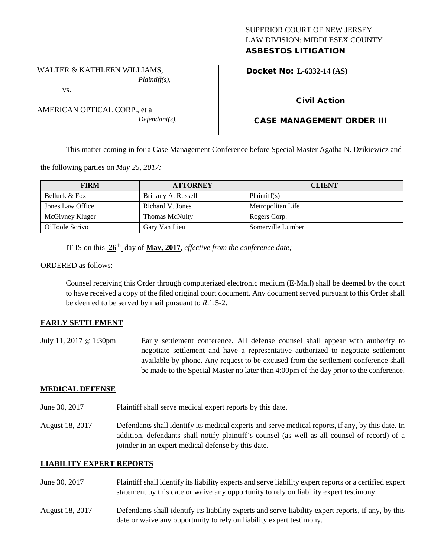## SUPERIOR COURT OF NEW JERSEY LAW DIVISION: MIDDLESEX COUNTY ASBESTOS LITIGATION

WALTER & KATHLEEN WILLIAMS, *Plaintiff(s),*

vs.

| AMERICAN OPTICAL CORP., et al |
|-------------------------------|
| $Defendant(s)$ .              |

Docket No: **L-6332-14 (AS)** 

# Civil Action

# CASE MANAGEMENT ORDER III

This matter coming in for a Case Management Conference before Special Master Agatha N. Dzikiewicz and

the following parties on *May 25, 2017:*

| <b>FIRM</b>      | <b>ATTORNEY</b>       | <b>CLIENT</b>     |
|------------------|-----------------------|-------------------|
| Belluck & Fox    | Brittany A. Russell   | Plaintiff(s)      |
| Jones Law Office | Richard V. Jones      | Metropolitan Life |
| McGivney Kluger  | <b>Thomas McNulty</b> | Rogers Corp.      |
| O'Toole Scrivo   | Gary Van Lieu         | Somerville Lumber |

IT IS on this **26th** day of **May, 2017**, *effective from the conference date;*

ORDERED as follows:

Counsel receiving this Order through computerized electronic medium (E-Mail) shall be deemed by the court to have received a copy of the filed original court document. Any document served pursuant to this Order shall be deemed to be served by mail pursuant to *R*.1:5-2.

### **EARLY SETTLEMENT**

July 11, 2017 @ 1:30pm Early settlement conference. All defense counsel shall appear with authority to negotiate settlement and have a representative authorized to negotiate settlement available by phone. Any request to be excused from the settlement conference shall be made to the Special Master no later than 4:00pm of the day prior to the conference.

### **MEDICAL DEFENSE**

- June 30, 2017 Plaintiff shall serve medical expert reports by this date.
- August 18, 2017 Defendants shall identify its medical experts and serve medical reports, if any, by this date. In addition, defendants shall notify plaintiff's counsel (as well as all counsel of record) of a joinder in an expert medical defense by this date.

## **LIABILITY EXPERT REPORTS**

- June 30, 2017 Plaintiff shall identify its liability experts and serve liability expert reports or a certified expert statement by this date or waive any opportunity to rely on liability expert testimony.
- August 18, 2017 Defendants shall identify its liability experts and serve liability expert reports, if any, by this date or waive any opportunity to rely on liability expert testimony.